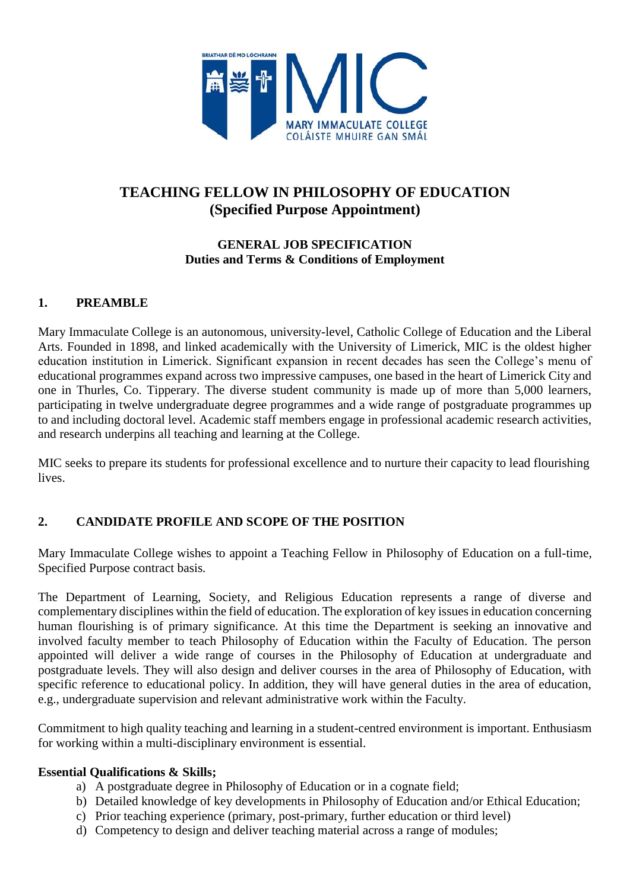

## **TEACHING FELLOW IN PHILOSOPHY OF EDUCATION (Specified Purpose Appointment)**

#### **GENERAL JOB SPECIFICATION Duties and Terms & Conditions of Employment**

### **1. PREAMBLE**

Mary Immaculate College is an autonomous, university-level, Catholic College of Education and the Liberal Arts. Founded in 1898, and linked academically with the University of Limerick, MIC is the oldest higher education institution in Limerick. Significant expansion in recent decades has seen the College's menu of educational programmes expand across two impressive campuses, one based in the heart of Limerick City and one in Thurles, Co. Tipperary. The diverse student community is made up of more than 5,000 learners, participating in twelve undergraduate degree programmes and a wide range of postgraduate programmes up to and including doctoral level. Academic staff members engage in professional academic research activities, and research underpins all teaching and learning at the College.

MIC seeks to prepare its students for professional excellence and to nurture their capacity to lead flourishing lives.

## **2. CANDIDATE PROFILE AND SCOPE OF THE POSITION**

Mary Immaculate College wishes to appoint a Teaching Fellow in Philosophy of Education on a full-time, Specified Purpose contract basis*.*

The Department of Learning, Society, and Religious Education represents a range of diverse and complementary disciplines within the field of education. The exploration of key issues in education concerning human flourishing is of primary significance. At this time the Department is seeking an innovative and involved faculty member to teach Philosophy of Education within the Faculty of Education. The person appointed will deliver a wide range of courses in the Philosophy of Education at undergraduate and postgraduate levels. They will also design and deliver courses in the area of Philosophy of Education, with specific reference to educational policy. In addition, they will have general duties in the area of education, e.g., undergraduate supervision and relevant administrative work within the Faculty.

Commitment to high quality teaching and learning in a student-centred environment is important. Enthusiasm for working within a multi-disciplinary environment is essential.

#### **Essential Qualifications & Skills;**

- a) A postgraduate degree in Philosophy of Education or in a cognate field;
- b) Detailed knowledge of key developments in Philosophy of Education and/or Ethical Education;
- c) Prior teaching experience (primary, post-primary, further education or third level)
- d) Competency to design and deliver teaching material across a range of modules;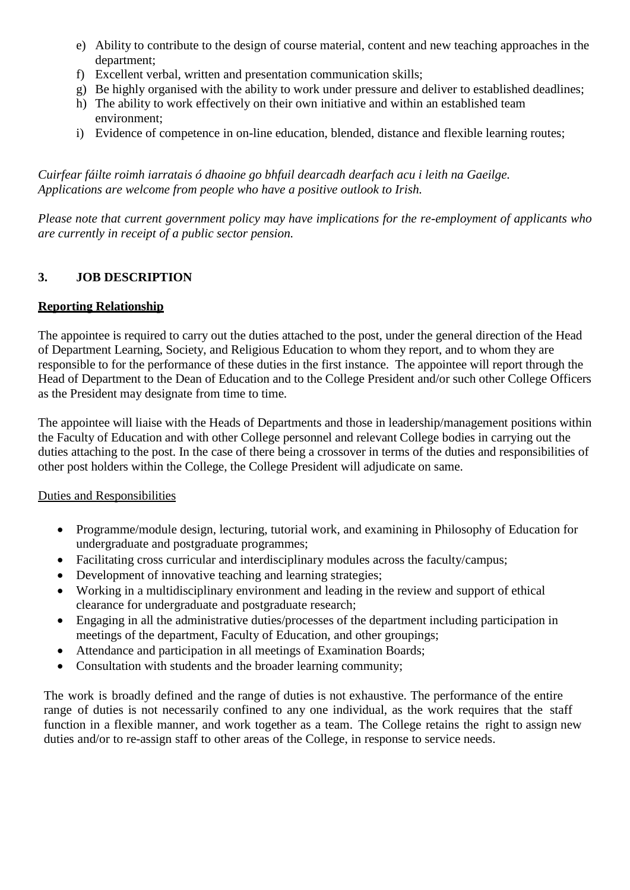- e) Ability to contribute to the design of course material, content and new teaching approaches in the department;
- f) Excellent verbal, written and presentation communication skills;
- g) Be highly organised with the ability to work under pressure and deliver to established deadlines;
- h) The ability to work effectively on their own initiative and within an established team environment;
- i) Evidence of competence in on-line education, blended, distance and flexible learning routes;

*Cuirfear fáilte roimh iarratais ó dhaoine go bhfuil dearcadh dearfach acu i leith na Gaeilge. Applications are welcome from people who have a positive outlook to Irish.*

*Please note that current government policy may have implications for the re-employment of applicants who are currently in receipt of a public sector pension.*

## **3. JOB DESCRIPTION**

### **Reporting Relationship**

The appointee is required to carry out the duties attached to the post, under the general direction of the Head of Department Learning, Society, and Religious Education to whom they report, and to whom they are responsible to for the performance of these duties in the first instance. The appointee will report through the Head of Department to the Dean of Education and to the College President and/or such other College Officers as the President may designate from time to time.

The appointee will liaise with the Heads of Departments and those in leadership/management positions within the Faculty of Education and with other College personnel and relevant College bodies in carrying out the duties attaching to the post. In the case of there being a crossover in terms of the duties and responsibilities of other post holders within the College, the College President will adjudicate on same.

#### Duties and Responsibilities

- Programme/module design, lecturing, tutorial work, and examining in Philosophy of Education for undergraduate and postgraduate programmes;
- Facilitating cross curricular and interdisciplinary modules across the faculty/campus;
- Development of innovative teaching and learning strategies;
- Working in a multidisciplinary environment and leading in the review and support of ethical clearance for undergraduate and postgraduate research;
- Engaging in all the administrative duties/processes of the department including participation in meetings of the department, Faculty of Education, and other groupings;
- Attendance and participation in all meetings of Examination Boards;
- Consultation with students and the broader learning community;

The work is broadly defined and the range of duties is not exhaustive. The performance of the entire range of duties is not necessarily confined to any one individual, as the work requires that the staff function in a flexible manner, and work together as a team. The College retains the right to assign new duties and/or to re-assign staff to other areas of the College, in response to service needs.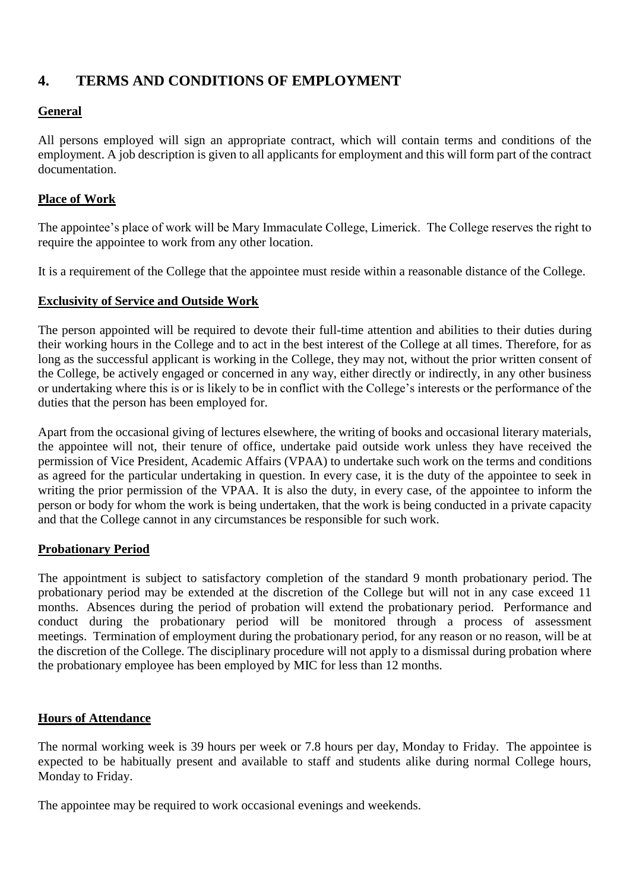## **4. TERMS AND CONDITIONS OF EMPLOYMENT**

## **General**

All persons employed will sign an appropriate contract, which will contain terms and conditions of the employment. A job description is given to all applicants for employment and this will form part of the contract documentation.

#### **Place of Work**

The appointee's place of work will be Mary Immaculate College, Limerick. The College reserves the right to require the appointee to work from any other location.

It is a requirement of the College that the appointee must reside within a reasonable distance of the College.

#### **Exclusivity of Service and Outside Work**

The person appointed will be required to devote their full-time attention and abilities to their duties during their working hours in the College and to act in the best interest of the College at all times. Therefore, for as long as the successful applicant is working in the College, they may not, without the prior written consent of the College, be actively engaged or concerned in any way, either directly or indirectly, in any other business or undertaking where this is or is likely to be in conflict with the College's interests or the performance of the duties that the person has been employed for.

Apart from the occasional giving of lectures elsewhere, the writing of books and occasional literary materials, the appointee will not, their tenure of office, undertake paid outside work unless they have received the permission of Vice President, Academic Affairs (VPAA) to undertake such work on the terms and conditions as agreed for the particular undertaking in question. In every case, it is the duty of the appointee to seek in writing the prior permission of the VPAA. It is also the duty, in every case, of the appointee to inform the person or body for whom the work is being undertaken, that the work is being conducted in a private capacity and that the College cannot in any circumstances be responsible for such work.

#### **Probationary Period**

The appointment is subject to satisfactory completion of the standard 9 month probationary period. The probationary period may be extended at the discretion of the College but will not in any case exceed 11 months. Absences during the period of probation will extend the probationary period. Performance and conduct during the probationary period will be monitored through a process of assessment meetings. Termination of employment during the probationary period, for any reason or no reason, will be at the discretion of the College. The disciplinary procedure will not apply to a dismissal during probation where the probationary employee has been employed by MIC for less than 12 months.

#### **Hours of Attendance**

The normal working week is 39 hours per week or 7.8 hours per day, Monday to Friday. The appointee is expected to be habitually present and available to staff and students alike during normal College hours, Monday to Friday.

The appointee may be required to work occasional evenings and weekends.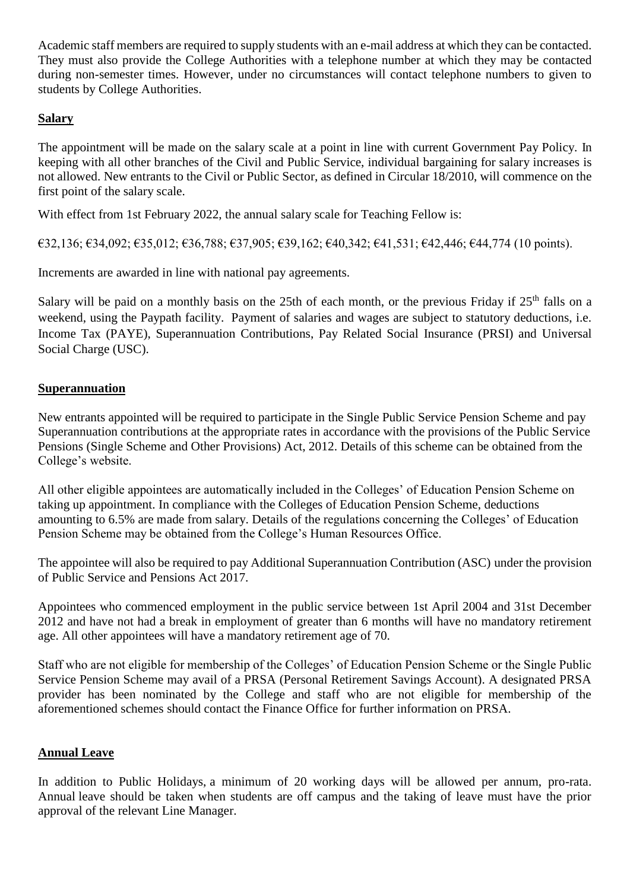Academic staff members are required to supply students with an e-mail address at which they can be contacted. They must also provide the College Authorities with a telephone number at which they may be contacted during non-semester times. However, under no circumstances will contact telephone numbers to given to students by College Authorities.

## **Salary**

The appointment will be made on the salary scale at a point in line with current Government Pay Policy. In keeping with all other branches of the Civil and Public Service, individual bargaining for salary increases is not allowed. New entrants to the Civil or Public Sector, as defined in Circular 18/2010, will commence on the first point of the salary scale.

With effect from 1st February 2022, the annual salary scale for Teaching Fellow is:

€32,136; €34,092; €35,012; €36,788; €37,905; €39,162; €40,342; €41,531; €42,446; €44,774 (10 points).

Increments are awarded in line with national pay agreements.

Salary will be paid on a monthly basis on the 25th of each month, or the previous Friday if  $25<sup>th</sup>$  falls on a weekend, using the Paypath facility. Payment of salaries and wages are subject to statutory deductions, i.e. Income Tax (PAYE), Superannuation Contributions, Pay Related Social Insurance (PRSI) and Universal Social Charge (USC).

#### **Superannuation**

New entrants appointed will be required to participate in the Single Public Service Pension Scheme and pay Superannuation contributions at the appropriate rates in accordance with the provisions of the Public Service Pensions (Single Scheme and Other Provisions) Act, 2012. Details of this scheme can be obtained from the College's website.

All other eligible appointees are automatically included in the Colleges' of Education Pension Scheme on taking up appointment. In compliance with the Colleges of Education Pension Scheme, deductions amounting to 6.5% are made from salary. Details of the regulations concerning the Colleges' of Education Pension Scheme may be obtained from the College's Human Resources Office.

The appointee will also be required to pay Additional Superannuation Contribution (ASC) under the provision of Public Service and Pensions Act 2017.

Appointees who commenced employment in the public service between 1st April 2004 and 31st December 2012 and have not had a break in employment of greater than 6 months will have no mandatory retirement age. All other appointees will have a mandatory retirement age of 70.

Staff who are not eligible for membership of the Colleges' of Education Pension Scheme or the Single Public Service Pension Scheme may avail of a PRSA (Personal Retirement Savings Account). A designated PRSA provider has been nominated by the College and staff who are not eligible for membership of the aforementioned schemes should contact the Finance Office for further information on PRSA.

#### **Annual Leave**

In addition to Public Holidays, a minimum of 20 working days will be allowed per annum, pro-rata. Annual leave should be taken when students are off campus and the taking of leave must have the prior approval of the relevant Line Manager.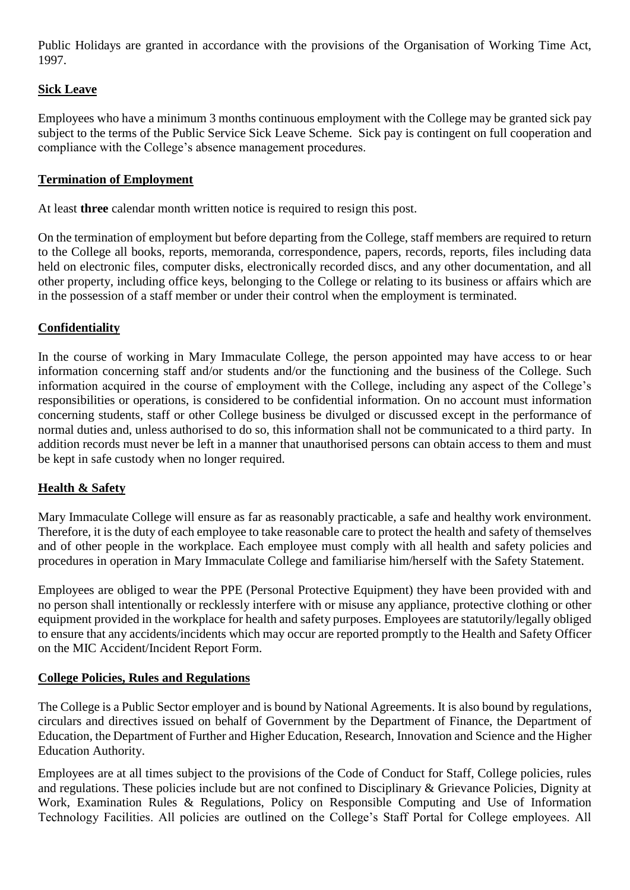Public Holidays are granted in accordance with the provisions of the Organisation of Working Time Act, 1997.

## **Sick Leave**

Employees who have a minimum 3 months continuous employment with the College may be granted sick pay subject to the terms of the Public Service Sick Leave Scheme. Sick pay is contingent on full cooperation and compliance with the College's absence management procedures.

### **Termination of Employment**

At least **three** calendar month written notice is required to resign this post.

On the termination of employment but before departing from the College, staff members are required to return to the College all books, reports, memoranda, correspondence, papers, records, reports, files including data held on electronic files, computer disks, electronically recorded discs, and any other documentation, and all other property, including office keys, belonging to the College or relating to its business or affairs which are in the possession of a staff member or under their control when the employment is terminated.

### **Confidentiality**

In the course of working in Mary Immaculate College, the person appointed may have access to or hear information concerning staff and/or students and/or the functioning and the business of the College. Such information acquired in the course of employment with the College, including any aspect of the College's responsibilities or operations, is considered to be confidential information. On no account must information concerning students, staff or other College business be divulged or discussed except in the performance of normal duties and, unless authorised to do so, this information shall not be communicated to a third party. In addition records must never be left in a manner that unauthorised persons can obtain access to them and must be kept in safe custody when no longer required.

## **Health & Safety**

Mary Immaculate College will ensure as far as reasonably practicable, a safe and healthy work environment. Therefore, it is the duty of each employee to take reasonable care to protect the health and safety of themselves and of other people in the workplace. Each employee must comply with all health and safety policies and procedures in operation in Mary Immaculate College and familiarise him/herself with the Safety Statement.

Employees are obliged to wear the PPE (Personal Protective Equipment) they have been provided with and no person shall intentionally or recklessly interfere with or misuse any appliance, protective clothing or other equipment provided in the workplace for health and safety purposes. Employees are statutorily/legally obliged to ensure that any accidents/incidents which may occur are reported promptly to the Health and Safety Officer on the MIC Accident/Incident Report Form.

#### **College Policies, Rules and Regulations**

The College is a Public Sector employer and is bound by National Agreements. It is also bound by regulations, circulars and directives issued on behalf of Government by the Department of Finance, the Department of Education, the Department of Further and Higher Education, Research, Innovation and Science and the Higher Education Authority.

Employees are at all times subject to the provisions of the Code of Conduct for Staff, College policies, rules and regulations. These policies include but are not confined to Disciplinary & Grievance Policies, Dignity at Work, Examination Rules & Regulations, Policy on Responsible Computing and Use of Information Technology Facilities. All policies are outlined on the College's Staff Portal for College employees. All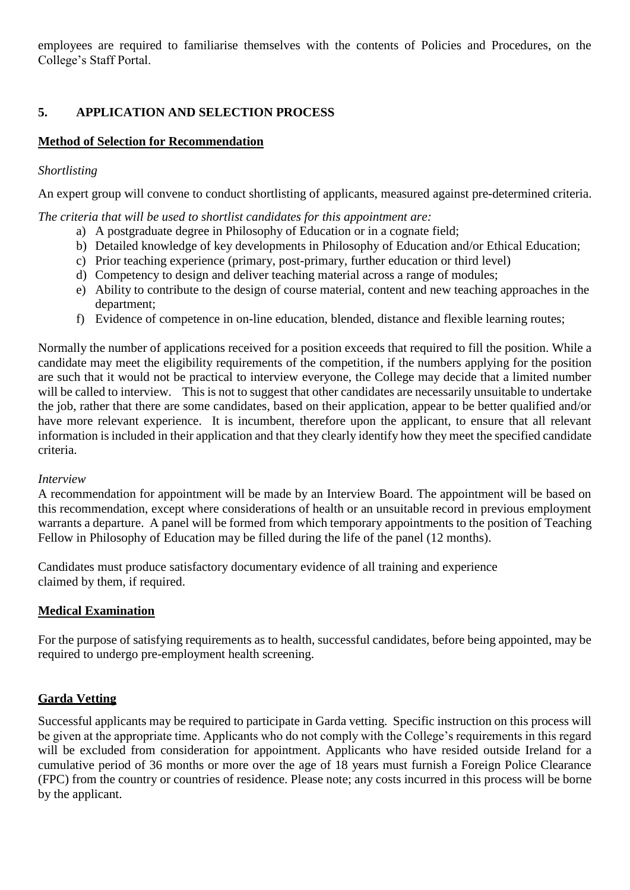employees are required to familiarise themselves with the contents of Policies and Procedures, on the College's Staff Portal.

## **5. APPLICATION AND SELECTION PROCESS**

## **Method of Selection for Recommendation**

#### *Shortlisting*

An expert group will convene to conduct shortlisting of applicants, measured against pre-determined criteria.

*The criteria that will be used to shortlist candidates for this appointment are:*

- a) A postgraduate degree in Philosophy of Education or in a cognate field;
- b) Detailed knowledge of key developments in Philosophy of Education and/or Ethical Education;
- c) Prior teaching experience (primary, post-primary, further education or third level)
- d) Competency to design and deliver teaching material across a range of modules;
- e) Ability to contribute to the design of course material, content and new teaching approaches in the department;
- f) Evidence of competence in on-line education, blended, distance and flexible learning routes;

Normally the number of applications received for a position exceeds that required to fill the position. While a candidate may meet the eligibility requirements of the competition, if the numbers applying for the position are such that it would not be practical to interview everyone, the College may decide that a limited number will be called to interview. This is not to suggest that other candidates are necessarily unsuitable to undertake the job, rather that there are some candidates, based on their application, appear to be better qualified and/or have more relevant experience. It is incumbent, therefore upon the applicant, to ensure that all relevant information is included in their application and that they clearly identify how they meet the specified candidate criteria.

#### *Interview*

A recommendation for appointment will be made by an Interview Board. The appointment will be based on this recommendation, except where considerations of health or an unsuitable record in previous employment warrants a departure. A panel will be formed from which temporary appointments to the position of Teaching Fellow in Philosophy of Education may be filled during the life of the panel (12 months).

Candidates must produce satisfactory documentary evidence of all training and experience claimed by them, if required.

#### **Medical Examination**

For the purpose of satisfying requirements as to health, successful candidates, before being appointed, may be required to undergo pre-employment health screening.

#### **Garda Vetting**

Successful applicants may be required to participate in Garda vetting. Specific instruction on this process will be given at the appropriate time. Applicants who do not comply with the College's requirements in this regard will be excluded from consideration for appointment. Applicants who have resided outside Ireland for a cumulative period of 36 months or more over the age of 18 years must furnish a Foreign Police Clearance (FPC) from the country or countries of residence. Please note; any costs incurred in this process will be borne by the applicant.